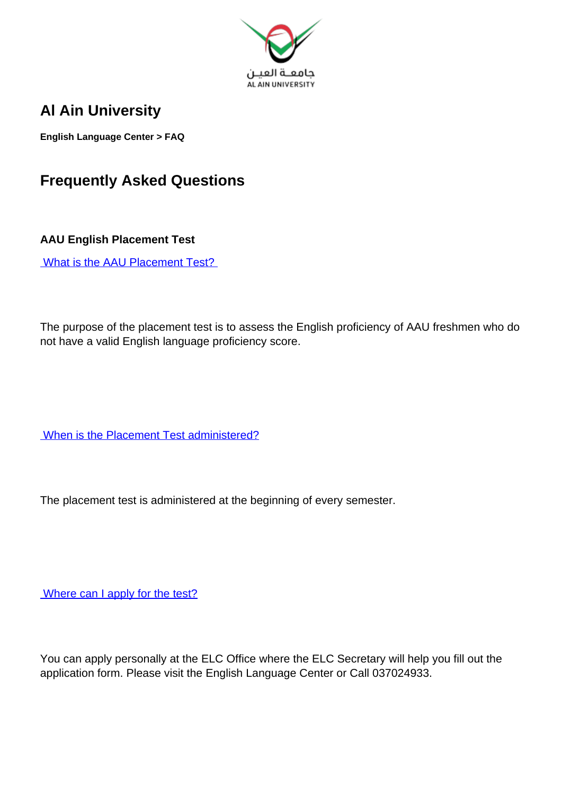

## **Al Ain University**

**English Language Center > FAQ**

## **Frequently Asked Questions**

**AAU English Placement Test**

What is the AAU Placement Test?

The purpose of the placement test is to assess the English proficiency of AAU freshmen who do not have a valid English language proficiency score.

When is the Placement Test administered?

The placement test is administered at the beginning of every semester.

Where can I apply for the test?

You can apply personally at the ELC Office where the ELC Secretary will help you fill out the application form. Please visit the English Language Center or Call 037024933.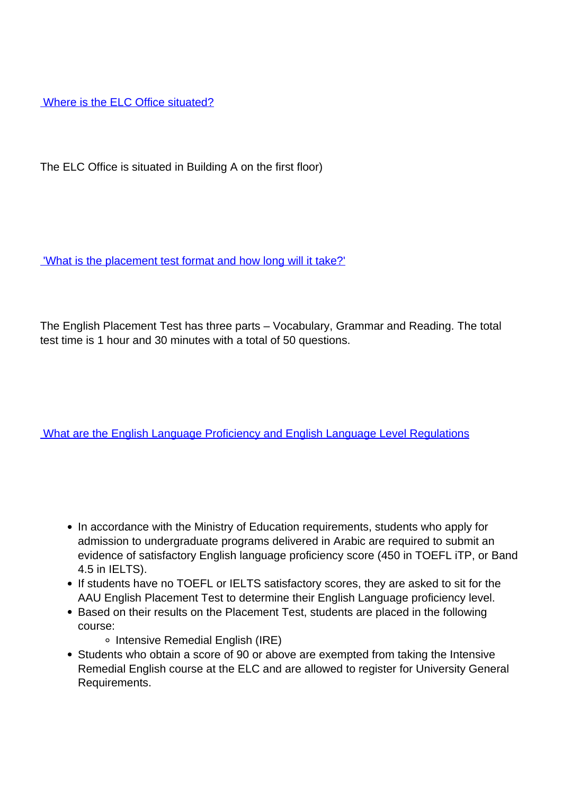Where is the ELC Office situated?

The ELC Office is situated in Building A on the first floor)

'What is the placement test format and how long will it take?'

The English Placement Test has three parts – Vocabulary, Grammar and Reading. The total test time is 1 hour and 30 minutes with a total of 50 questions.

What are the English Language Proficiency and English Language Level Regulations

- In accordance with the Ministry of Education requirements, students who apply for admission to undergraduate programs delivered in Arabic are required to submit an evidence of satisfactory English language proficiency score (450 in TOEFL iTP, or Band 4.5 in IELTS).
- If students have no TOEFL or IELTS satisfactory scores, they are asked to sit for the AAU English Placement Test to determine their English Language proficiency level.
- Based on their results on the Placement Test, students are placed in the following course:
	- o Intensive Remedial English (IRE)
- Students who obtain a score of 90 or above are exempted from taking the Intensive Remedial English course at the ELC and are allowed to register for University General Requirements.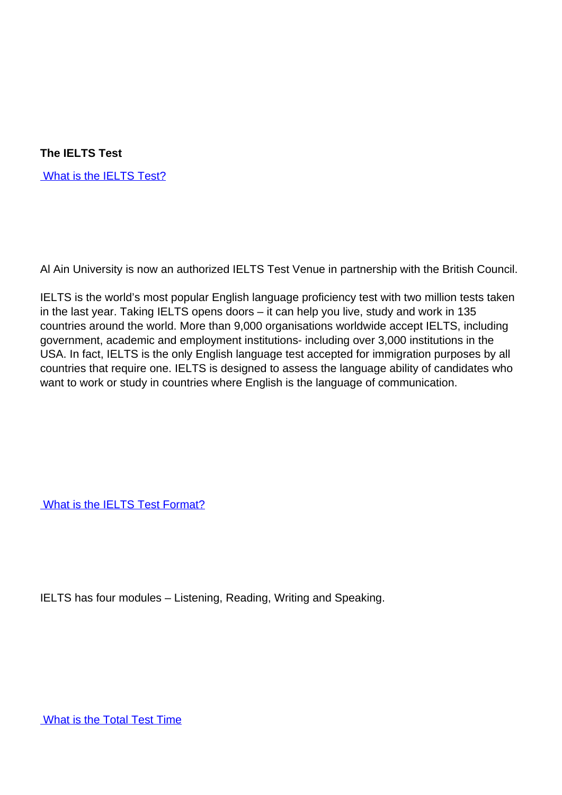**The IELTS Test**

What is the IELTS Test?

Al Ain University is now an authorized IELTS Test Venue in partnership with the British Council.

IELTS is the world's most popular English language proficiency test with two million tests taken in the last year. Taking IELTS opens doors – it can help you live, study and work in 135 countries around the world. More than 9,000 organisations worldwide accept IELTS, including government, academic and employment institutions- including over 3,000 institutions in the USA. In fact, IELTS is the only English language test accepted for immigration purposes by all countries that require one. IELTS is designed to assess the language ability of candidates who want to work or study in countries where English is the language of communication.

What is the **IELTS** Test Format?

IELTS has four modules – Listening, Reading, Writing and Speaking.

What is the Total Test Time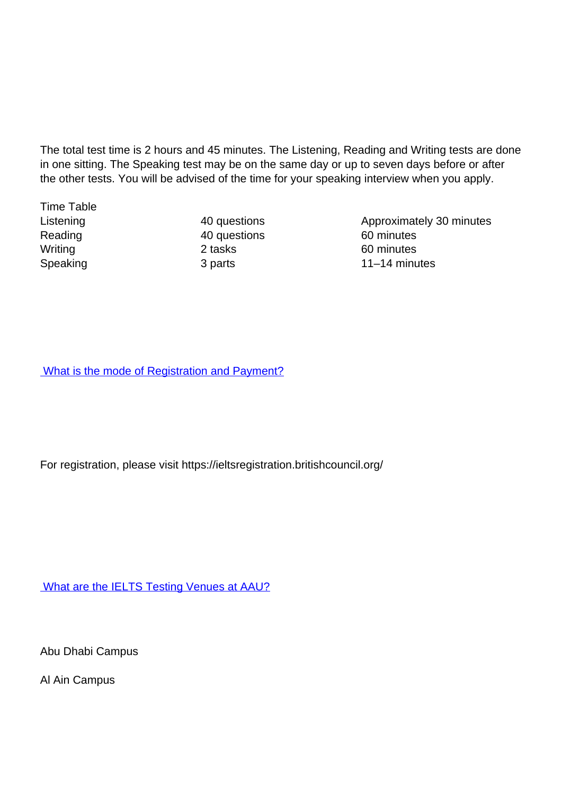The total test time is 2 hours and 45 minutes. The Listening, Reading and Writing tests are done in one sitting. The Speaking test may be on the same day or up to seven days before or after the other tests. You will be advised of the time for your speaking interview when you apply.

Time Table

Reading 20 and 40 questions 60 minutes Writing 2 tasks 60 minutes

Listening 20 and 40 questions 20 approximately 30 minutes Speaking 3 parts 3 parts 11–14 minutes

What is the mode of Registration and Payment?

For registration, please visit https://ieltsregistration.britishcouncil.org/

What are the **IELTS Testing Venues at AAU?** 

Abu Dhabi Campus

Al Ain Campus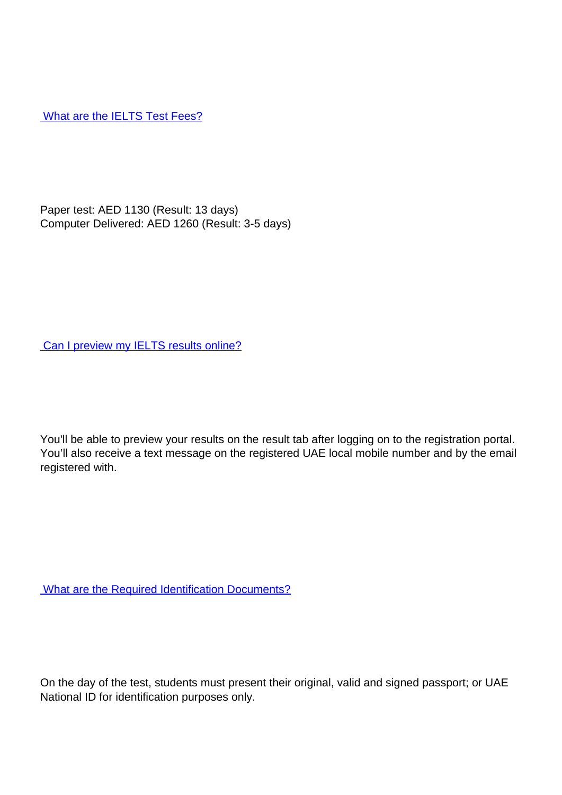What are the **IELTS** Test Fees?

Paper test: AED 1130 (Result: 13 days) Computer Delivered: AED 1260 (Result: 3-5 days)

Can I preview my IELTS results online?

You'll be able to preview your results on the result tab after logging on to the registration portal. You'll also receive a text message on the registered UAE local mobile number and by the email registered with.

What are the Required Identification Documents?

On the day of the test, students must present their original, valid and signed passport; or UAE National ID for identification purposes only.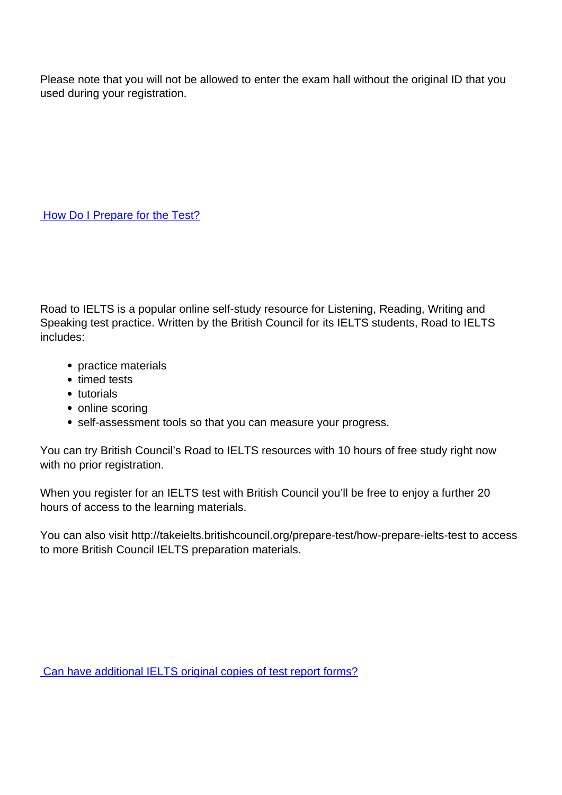Please note that you will not be allowed to enter the exam hall without the original ID that you used during your registration.

How Do I Prepare for the Test?

Road to IELTS is a popular online self-study resource for Listening, Reading, Writing and Speaking test practice. Written by the British Council for its IELTS students, Road to IELTS includes:

- practice materials
- timed tests
- tutorials
- online scoring
- self-assessment tools so that you can measure your progress.

You can try British Council's Road to IELTS resources with 10 hours of free study right now with no prior registration.

When you register for an IELTS test with British Council you'll be free to enjoy a further 20 hours of access to the learning materials.

You can also visit http://takeielts.britishcouncil.org/prepare-test/how-prepare-ielts-test to access to more British Council IELTS preparation materials.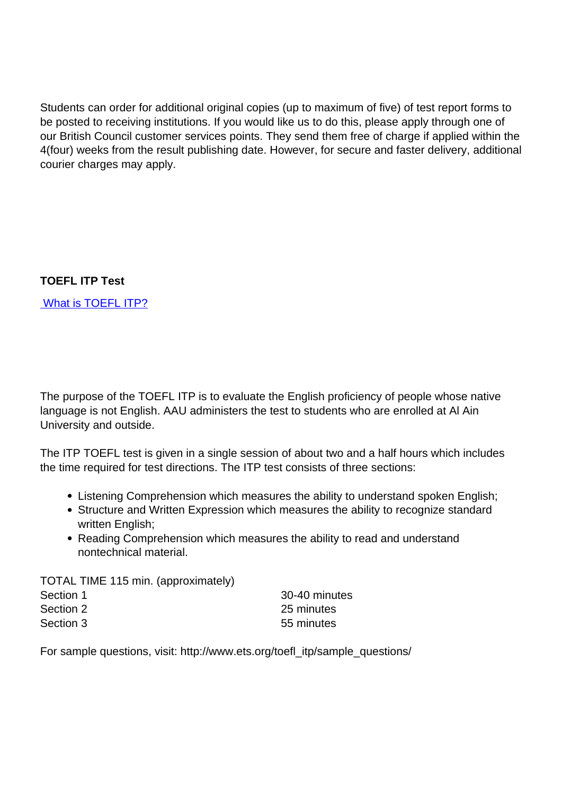Students can order for additional original copies (up to maximum of five) of test report forms to be posted to receiving institutions. If you would like us to do this, please apply through one of our British Council customer services points. They send them free of charge if applied within the 4(four) weeks from the result publishing date. However, for secure and faster delivery, additional courier charges may apply.

## **TOEFL ITP Test**

What is TOEFL ITP?

The purpose of the TOEFL ITP is to evaluate the English proficiency of people whose native language is not English. AAU administers the test to students who are enrolled at Al Ain University and outside.

The ITP TOEFL test is given in a single session of about two and a half hours which includes the time required for test directions. The ITP test consists of three sections:

- Listening Comprehension which measures the ability to understand spoken English;
- Structure and Written Expression which measures the ability to recognize standard written English;
- Reading Comprehension which measures the ability to read and understand nontechnical material.

TOTAL TIME 115 min. (approximately) Section 1 30-40 minutes Section 2 25 minutes Section 3 55 minutes

For sample questions, visit: http://www.ets.org/toefl\_itp/sample\_questions/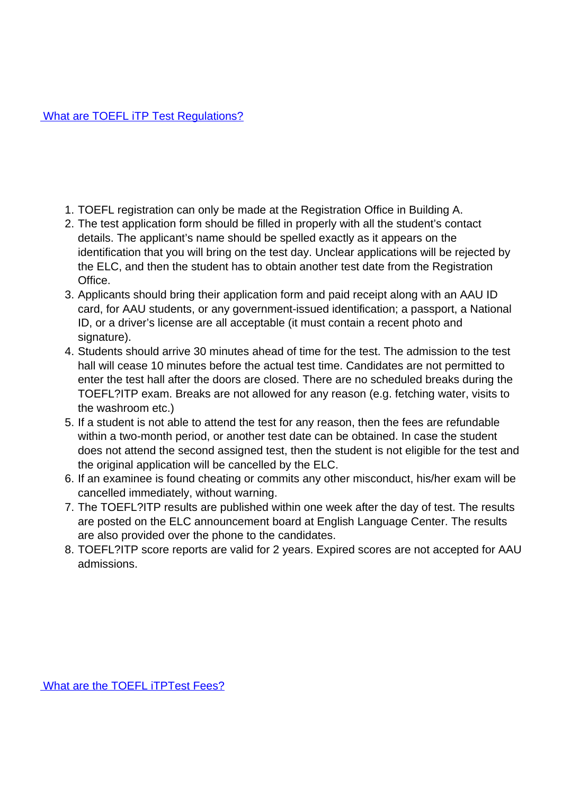- 1. TOEFL registration can only be made at the Registration Office in Building A.
- 2. The test application form should be filled in properly with all the student's contact details. The applicant's name should be spelled exactly as it appears on the identification that you will bring on the test day. Unclear applications will be rejected by the ELC, and then the student has to obtain another test date from the Registration Office.
- 3. Applicants should bring their application form and paid receipt along with an AAU ID card, for AAU students, or any government-issued identification; a passport, a National ID, or a driver's license are all acceptable (it must contain a recent photo and signature).
- 4. Students should arrive 30 minutes ahead of time for the test. The admission to the test hall will cease 10 minutes before the actual test time. Candidates are not permitted to enter the test hall after the doors are closed. There are no scheduled breaks during the TOEFL?ITP exam. Breaks are not allowed for any reason (e.g. fetching water, visits to the washroom etc.)
- 5. If a student is not able to attend the test for any reason, then the fees are refundable within a two-month period, or another test date can be obtained. In case the student does not attend the second assigned test, then the student is not eligible for the test and the original application will be cancelled by the ELC.
- 6. If an examinee is found cheating or commits any other misconduct, his/her exam will be cancelled immediately, without warning.
- 7. The TOEFL?ITP results are published within one week after the day of test. The results are posted on the ELC announcement board at English Language Center. The results are also provided over the phone to the candidates.
- 8. TOEFL?ITP score reports are valid for 2 years. Expired scores are not accepted for AAU admissions.